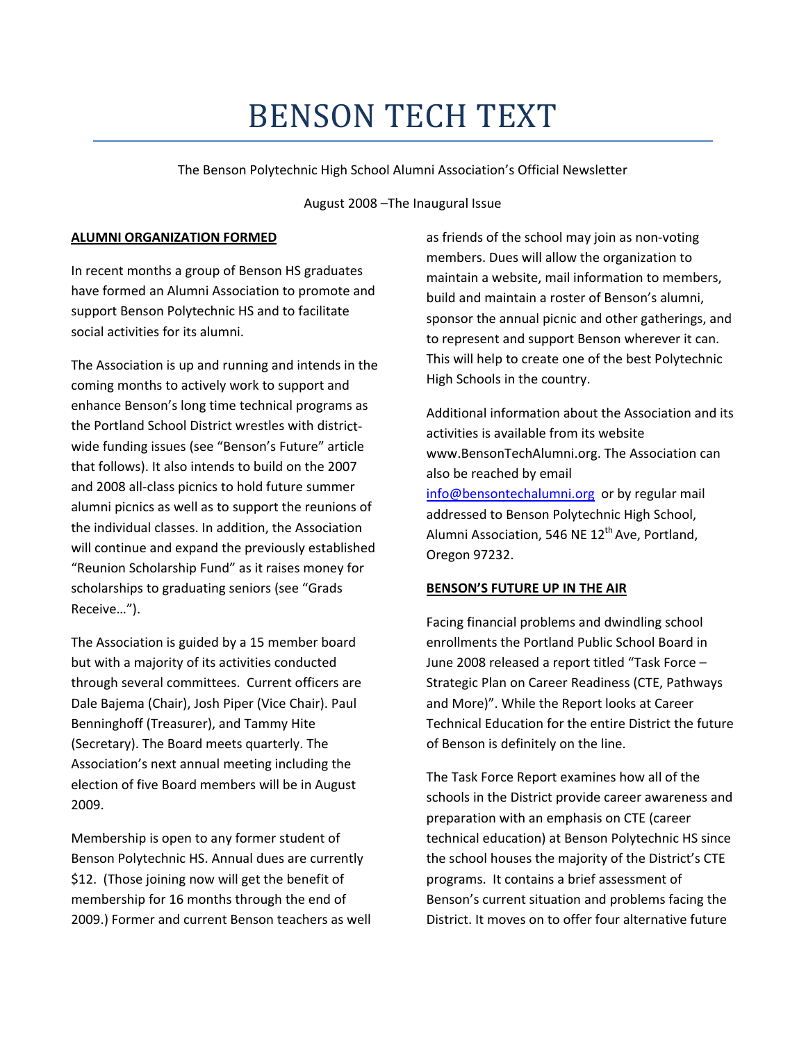# BENSON TECH TEXT

The Benson Polytechnic High School Alumni Association's Official Newsletter

August 2008 –The Inaugural Issue

## **ALUMNI ORGANIZATION FORMED**

In recent months a group of Benson HS graduates have formed an Alumni Association to promote and support Benson Polytechnic HS and to facilitate social activities for its alumni.

The Association is up and running and intends in the coming months to actively work to support and enhance Benson's long time technical programs as the Portland School District wrestles with district‐ wide funding issues (see "Benson's Future" article that follows). It also intends to build on the 2007 and 2008 all‐class picnics to hold future summer alumni picnics as well as to support the reunions of the individual classes. In addition, the Association will continue and expand the previously established "Reunion Scholarship Fund" as it raises money for scholarships to graduating seniors (see "Grads Receive…").

The Association is guided by a 15 member board but with a majority of its activities conducted through several committees. Current officers are Dale Bajema (Chair), Josh Piper (Vice Chair). Paul Benninghoff (Treasurer), and Tammy Hite (Secretary). The Board meets quarterly. The Association's next annual meeting including the election of five Board members will be in August 2009.

Membership is open to any former student of Benson Polytechnic HS. Annual dues are currently \$12. (Those joining now will get the benefit of membership for 16 months through the end of 2009.) Former and current Benson teachers as well

as friends of the school may join as non‐voting members. Dues will allow the organization to maintain a website, mail information to members, build and maintain a roster of Benson's alumni, sponsor the annual picnic and other gatherings, and to represent and support Benson wherever it can. This will help to create one of the best Polytechnic High Schools in the country.

Additional information about the Association and its activities is available from its website www.BensonTechAlumni.org. The Association can also be reached by email [info@bensontechalumni.org](mailto:info@bensontechalumni.org) or by regular mail addressed to Benson Polytechnic High School, Alumni Association, 546 NE 12<sup>th</sup> Ave, Portland, Oregon 97232.

# **BENSON'S FUTURE UP IN THE AIR**

Facing financial problems and dwindling school enrollments the Portland Public School Board in June 2008 released a report titled "Task Force – Strategic Plan on Career Readiness (CTE, Pathways and More)". While the Report looks at Career Technical Education for the entire District the future of Benson is definitely on the line.

The Task Force Report examines how all of the schools in the District provide career awareness and preparation with an emphasis on CTE (career technical education) at Benson Polytechnic HS since the school houses the majority of the District's CTE programs. It contains a brief assessment of Benson's current situation and problems facing the District. It moves on to offer four alternative future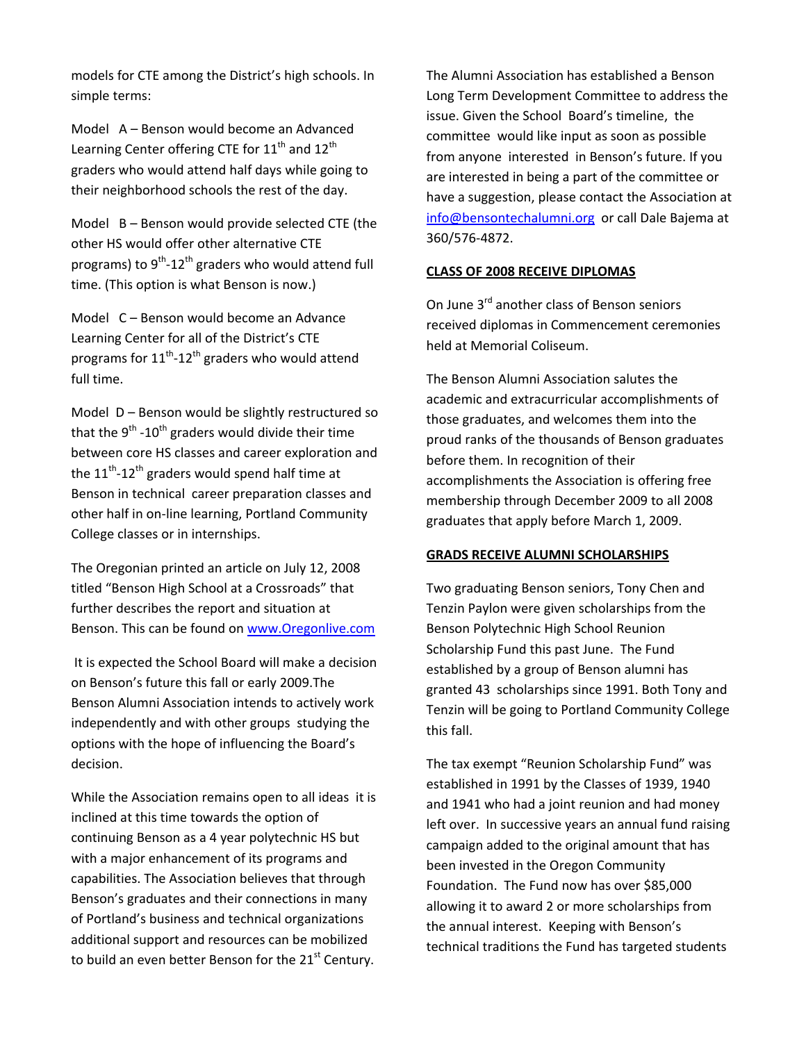models for CTE among the District's high schools. In simple terms:

Model A – Benson would become an Advanced Learning Center offering CTE for  $11<sup>th</sup>$  and  $12<sup>th</sup>$ graders who would attend half days while going to their neighborhood schools the rest of the day.

Model B – Benson would provide selected CTE (the other HS would offer other alternative CTE programs) to  $9^{th}$ -12<sup>th</sup> graders who would attend full time. (This option is what Benson is now.)

Model C – Benson would become an Advance Learning Center for all of the District's CTE programs for  $11^{th}$ - $12^{th}$  graders who would attend full time.

Model D – Benson would be slightly restructured so that the  $9^{th}$  -10<sup>th</sup> graders would divide their time between core HS classes and career exploration and the  $11^{th}$ - $12^{th}$  graders would spend half time at Benson in technical career preparation classes and other half in on‐line learning, Portland Community College classes or in internships.

The Oregonian printed an article on July 12, 2008 titled "Benson High School at a Crossroads" that further describes the report and situation at Benson. This can be found on [www.Oregonlive.com](http://www.oregonlive.com/)

It is expected the School Board will make a decision on Benson's future this fall or early 2009.The Benson Alumni Association intends to actively work independently and with other groups studying the options with the hope of influencing the Board's decision.

While the Association remains open to all ideas it is inclined at this time towards the option of continuing Benson as a 4 year polytechnic HS but with a major enhancement of its programs and capabilities. The Association believes that through Benson's graduates and their connections in many of Portland's business and technical organizations additional support and resources can be mobilized to build an even better Benson for the  $21<sup>st</sup>$  Century.

The Alumni Association has established a Benson Long Term Development Committee to address the issue. Given the School Board's timeline, the committee would like input as soon as possible from anyone interested in Benson's future. If you are interested in being a part of the committee or have a suggestion, please contact the Association at [info@bensontechalumni.org](mailto:info@bensontechalumni.org) or call Dale Bajema at 360/576‐4872.

# **CLASS OF 2008 RECEIVE DIPLOMAS**

On June 3<sup>rd</sup> another class of Benson seniors received diplomas in Commencement ceremonies held at Memorial Coliseum.

The Benson Alumni Association salutes the academic and extracurricular accomplishments of those graduates, and welcomes them into the proud ranks of the thousands of Benson graduates before them. In recognition of their accomplishments the Association is offering free membership through December 2009 to all 2008 graduates that apply before March 1, 2009.

#### **GRADS RECEIVE ALUMNI SCHOLARSHIPS**

Two graduating Benson seniors, Tony Chen and Tenzin Paylon were given scholarships from the Benson Polytechnic High School Reunion Scholarship Fund this past June. The Fund established by a group of Benson alumni has granted 43 scholarships since 1991. Both Tony and Tenzin will be going to Portland Community College this fall.

The tax exempt "Reunion Scholarship Fund" was established in 1991 by the Classes of 1939, 1940 and 1941 who had a joint reunion and had money left over. In successive years an annual fund raising campaign added to the original amount that has been invested in the Oregon Community Foundation. The Fund now has over \$85,000 allowing it to award 2 or more scholarships from the annual interest. Keeping with Benson's technical traditions the Fund has targeted students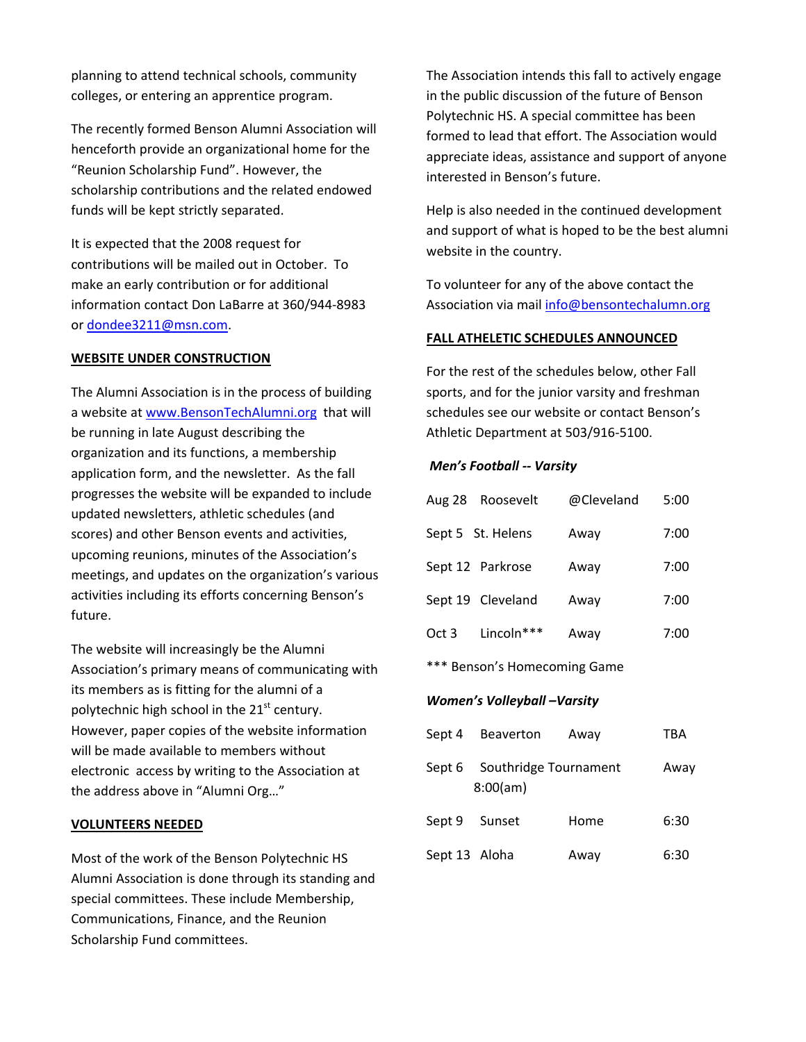planning to attend technical schools, community colleges, or entering an apprentice program.

The recently formed Benson Alumni Association will henceforth provide an organizational home for the "Reunion Scholarship Fund". However, the scholarship contributions and the related endowed funds will be kept strictly separated.

It is expected that the 2008 request for contributions will be mailed out in October. To make an early contribution or for additional information contact Don LaBarre at 360/944‐8983 or [dondee3211@msn.com](mailto:dondee3211@msn.com).

# **WEBSITE UNDER CONSTRUCTION**

The Alumni Association is in the process of building a website at [www.BensonTechAlumni.org](http://www.bensontechalumni.org/) that will be running in late August describing the organization and its functions, a membership application form, and the newsletter. As the fall progresses the website will be expanded to include updated newsletters, athletic schedules (and scores) and other Benson events and activities, upcoming reunions, minutes of the Association's meetings, and updates on the organization's various activities including its efforts concerning Benson's future.

The website will increasingly be the Alumni Association's primary means of communicating with its members as is fitting for the alumni of a polytechnic high school in the  $21<sup>st</sup>$  century. However, paper copies of the website information will be made available to members without electronic access by writing to the Association at the address above in "Alumni Org…"

#### **VOLUNTEERS NEEDED**

Most of the work of the Benson Polytechnic HS Alumni Association is done through its standing and special committees. These include Membership, Communications, Finance, and the Reunion Scholarship Fund committees.

The Association intends this fall to actively engage in the public discussion of the future of Benson Polytechnic HS. A special committee has been formed to lead that effort. The Association would appreciate ideas, assistance and support of anyone interested in Benson's future.

Help is also needed in the continued development and support of what is hoped to be the best alumni website in the country.

To volunteer for any of the above contact the Association via mail [info@bensontechalumn.org](mailto:info@bensontechalumn.org)

## **FALL ATHELETIC SCHEDULES ANNOUNCED**

For the rest of the schedules below, other Fall sports, and for the junior varsity and freshman schedules see our website or contact Benson's Athletic Department at 503/916‐5100.

## *Men's Football ‐‐ Varsity*

| Roosevelt<br>Aug 28 | @Cleveland | 5:00 |
|---------------------|------------|------|
| Sept 5 St. Helens   | Away       | 7:00 |
| Sept 12 Parkrose    | Away       | 7:00 |
| Sept 19 Cleveland   | Away       | 7:00 |
| Lincoln***<br>Oct 3 | Away       | 7:00 |

\*\*\* Benson's Homecoming Game

### *Women's Volleyball –Varsity*

| Sept 4        | Beaverton                         | Away | TBA  |
|---------------|-----------------------------------|------|------|
| Sept 6        | Southridge Tournament<br>8:00(am) |      | Away |
| Sept 9 Sunset |                                   | Home | 6:30 |
| Sept 13 Aloha |                                   | Away | 6:30 |